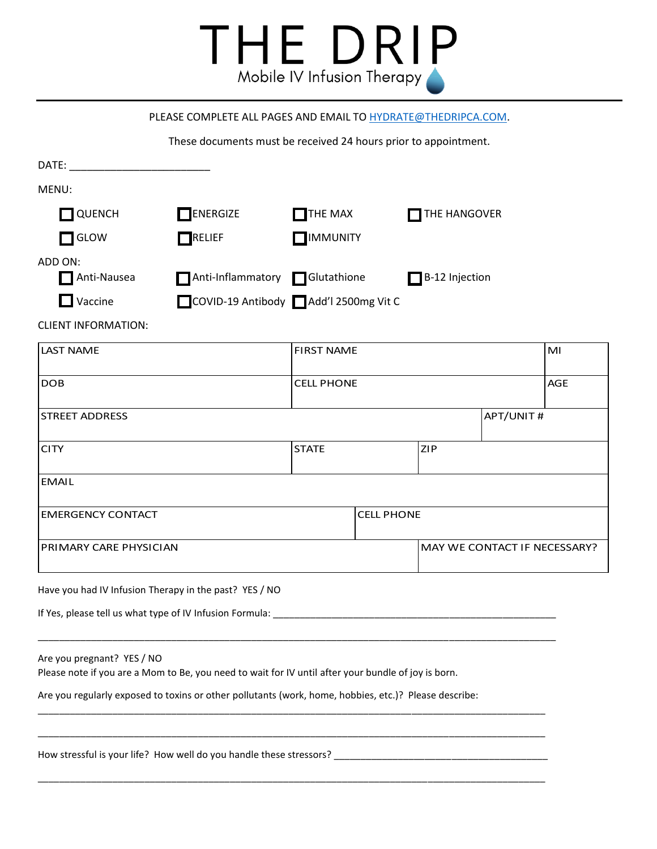

## PLEASE COMPLETE ALL PAGES AND EMAIL TO [HYDRATE@THEDRIPCA.COM.](mailto:HYDRATE@THEDRIPCA.COM)

These documents must be received 24 hours prior to appointment.

| DATE: the contract of the contract of the contract of the contract of the contract of the contract of the contract of the contract of the contract of the contract of the contract of the contract of the contract of the cont |                                      |                   |                   |                              |           |            |  |
|--------------------------------------------------------------------------------------------------------------------------------------------------------------------------------------------------------------------------------|--------------------------------------|-------------------|-------------------|------------------------------|-----------|------------|--|
| MENU:                                                                                                                                                                                                                          |                                      |                   |                   |                              |           |            |  |
| QUENCH                                                                                                                                                                                                                         | $\Box$ ENERGIZE                      | $\Box$ THE MAX    |                   | THE HANGOVER                 |           |            |  |
| GLOW                                                                                                                                                                                                                           | $\bigcap$ RELIEF                     | <b>NUMUNITY</b>   |                   |                              |           |            |  |
| ADD ON:                                                                                                                                                                                                                        |                                      |                   |                   |                              |           |            |  |
| Anti-Nausea                                                                                                                                                                                                                    | Anti-Inflammatory Glutathione        |                   |                   | B-12 Injection               |           |            |  |
| $\Box$ Vaccine                                                                                                                                                                                                                 | COVID-19 Antibody Add'l 2500mg Vit C |                   |                   |                              |           |            |  |
| <b>CLIENT INFORMATION:</b>                                                                                                                                                                                                     |                                      |                   |                   |                              |           |            |  |
| <b>LAST NAME</b>                                                                                                                                                                                                               |                                      | <b>FIRST NAME</b> |                   |                              |           | MI         |  |
| <b>DOB</b>                                                                                                                                                                                                                     |                                      | <b>CELL PHONE</b> |                   |                              |           | <b>AGE</b> |  |
| <b>STREET ADDRESS</b>                                                                                                                                                                                                          |                                      |                   |                   |                              | APT/UNIT# |            |  |
| <b>CITY</b>                                                                                                                                                                                                                    |                                      | <b>STATE</b>      |                   | ZIP                          |           |            |  |
| <b>EMAIL</b>                                                                                                                                                                                                                   |                                      |                   |                   |                              |           |            |  |
| <b>EMERGENCY CONTACT</b>                                                                                                                                                                                                       |                                      |                   | <b>CELL PHONE</b> |                              |           |            |  |
| PRIMARY CARE PHYSICIAN                                                                                                                                                                                                         |                                      |                   |                   | MAY WE CONTACT IF NECESSARY? |           |            |  |
| Have you had IV Infusion Therapy in the past? YES / NO                                                                                                                                                                         |                                      |                   |                   |                              |           |            |  |
| If Yes, please tell us what type of IV Infusion Formula: ________________________                                                                                                                                              |                                      |                   |                   |                              |           |            |  |
| Are you pregnant? YES / NO<br>Please note if you are a Mom to Be, you need to wait for IV until after your bundle of joy is born.                                                                                              |                                      |                   |                   |                              |           |            |  |
| Are you regularly exposed to toxins or other pollutants (work, home, hobbies, etc.)? Please describe:                                                                                                                          |                                      |                   |                   |                              |           |            |  |
| How stressful is your life? How well do you handle these stressors?                                                                                                                                                            |                                      |                   |                   |                              |           |            |  |

\_\_\_\_\_\_\_\_\_\_\_\_\_\_\_\_\_\_\_\_\_\_\_\_\_\_\_\_\_\_\_\_\_\_\_\_\_\_\_\_\_\_\_\_\_\_\_\_\_\_\_\_\_\_\_\_\_\_\_\_\_\_\_\_\_\_\_\_\_\_\_\_\_\_\_\_\_\_\_\_\_\_\_\_\_\_\_\_\_\_\_\_\_\_\_